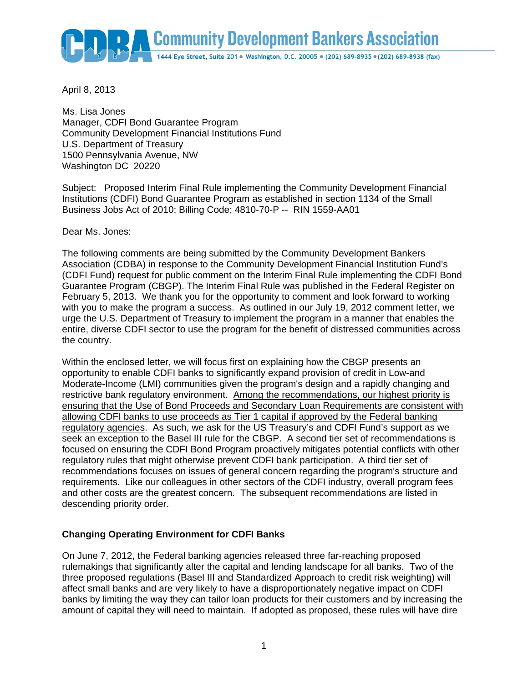

April 8, 2013

Ms. Lisa Jones Manager, CDFI Bond Guarantee Program Community Development Financial Institutions Fund U.S. Department of Treasury 1500 Pennsylvania Avenue, NW Washington DC 20220

Subject: Proposed Interim Final Rule implementing the Community Development Financial Institutions (CDFI) Bond Guarantee Program as established in section 1134 of the Small Business Jobs Act of 2010; Billing Code; 4810-70-P -- RIN 1559-AA01

Dear Ms. Jones:

The following comments are being submitted by the Community Development Bankers Association (CDBA) in response to the Community Development Financial Institution Fund's (CDFI Fund) request for public comment on the Interim Final Rule implementing the CDFI Bond Guarantee Program (CBGP). The Interim Final Rule was published in the Federal Register on February 5, 2013. We thank you for the opportunity to comment and look forward to working with you to make the program a success. As outlined in our July 19, 2012 comment letter, we urge the U.S. Department of Treasury to implement the program in a manner that enables the entire, diverse CDFI sector to use the program for the benefit of distressed communities across the country.

Within the enclosed letter, we will focus first on explaining how the CBGP presents an opportunity to enable CDFI banks to significantly expand provision of credit in Low-and Moderate-Income (LMI) communities given the program's design and a rapidly changing and restrictive bank regulatory environment. Among the recommendations, our highest priority is ensuring that the Use of Bond Proceeds and Secondary Loan Requirements are consistent with allowing CDFI banks to use proceeds as Tier 1 capital if approved by the Federal banking regulatory agencies. As such, we ask for the US Treasury's and CDFI Fund's support as we seek an exception to the Basel III rule for the CBGP. A second tier set of recommendations is focused on ensuring the CDFI Bond Program proactively mitigates potential conflicts with other regulatory rules that might otherwise prevent CDFI bank participation. A third tier set of recommendations focuses on issues of general concern regarding the program's structure and requirements. Like our colleagues in other sectors of the CDFI industry, overall program fees and other costs are the greatest concern. The subsequent recommendations are listed in descending priority order.

# **Changing Operating Environment for CDFI Banks**

On June 7, 2012, the Federal banking agencies released three far-reaching proposed rulemakings that significantly alter the capital and lending landscape for all banks. Two of the three proposed regulations (Basel III and Standardized Approach to credit risk weighting) will affect small banks and are very likely to have a disproportionately negative impact on CDFI banks by limiting the way they can tailor loan products for their customers and by increasing the amount of capital they will need to maintain. If adopted as proposed, these rules will have dire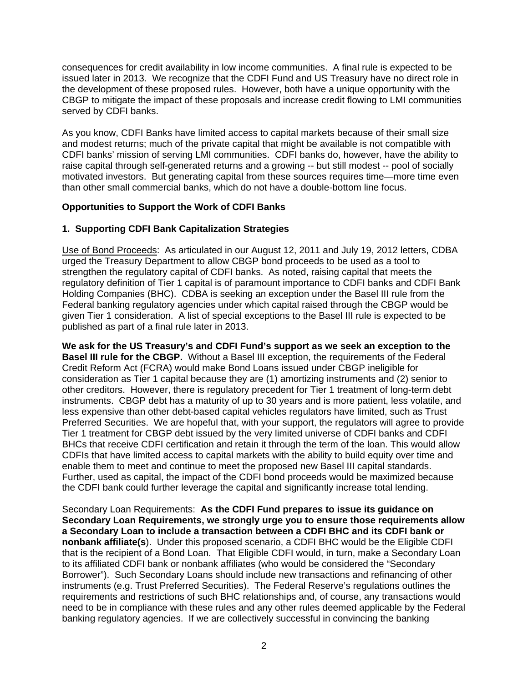consequences for credit availability in low income communities. A final rule is expected to be issued later in 2013. We recognize that the CDFI Fund and US Treasury have no direct role in the development of these proposed rules. However, both have a unique opportunity with the CBGP to mitigate the impact of these proposals and increase credit flowing to LMI communities served by CDFI banks.

As you know, CDFI Banks have limited access to capital markets because of their small size and modest returns; much of the private capital that might be available is not compatible with CDFI banks' mission of serving LMI communities. CDFI banks do, however, have the ability to raise capital through self-generated returns and a growing -- but still modest -- pool of socially motivated investors. But generating capital from these sources requires time—more time even than other small commercial banks, which do not have a double-bottom line focus.

## **Opportunities to Support the Work of CDFI Banks**

## **1. Supporting CDFI Bank Capitalization Strategies**

Use of Bond Proceeds: As articulated in our August 12, 2011 and July 19, 2012 letters, CDBA urged the Treasury Department to allow CBGP bond proceeds to be used as a tool to strengthen the regulatory capital of CDFI banks. As noted, raising capital that meets the regulatory definition of Tier 1 capital is of paramount importance to CDFI banks and CDFI Bank Holding Companies (BHC). CDBA is seeking an exception under the Basel III rule from the Federal banking regulatory agencies under which capital raised through the CBGP would be given Tier 1 consideration. A list of special exceptions to the Basel III rule is expected to be published as part of a final rule later in 2013.

**We ask for the US Treasury's and CDFI Fund's support as we seek an exception to the Basel III rule for the CBGP.** Without a Basel III exception, the requirements of the Federal Credit Reform Act (FCRA) would make Bond Loans issued under CBGP ineligible for consideration as Tier 1 capital because they are (1) amortizing instruments and (2) senior to other creditors. However, there is regulatory precedent for Tier 1 treatment of long-term debt instruments. CBGP debt has a maturity of up to 30 years and is more patient, less volatile, and less expensive than other debt-based capital vehicles regulators have limited, such as Trust Preferred Securities. We are hopeful that, with your support, the regulators will agree to provide Tier 1 treatment for CBGP debt issued by the very limited universe of CDFI banks and CDFI BHCs that receive CDFI certification and retain it through the term of the loan. This would allow CDFIs that have limited access to capital markets with the ability to build equity over time and enable them to meet and continue to meet the proposed new Basel III capital standards. Further, used as capital, the impact of the CDFI bond proceeds would be maximized because the CDFI bank could further leverage the capital and significantly increase total lending.

Secondary Loan Requirements: **As the CDFI Fund prepares to issue its guidance on Secondary Loan Requirements, we strongly urge you to ensure those requirements allow a Secondary Loan to include a transaction between a CDFI BHC and its CDFI bank or nonbank affiliate(s**). Under this proposed scenario, a CDFI BHC would be the Eligible CDFI that is the recipient of a Bond Loan. That Eligible CDFI would, in turn, make a Secondary Loan to its affiliated CDFI bank or nonbank affiliates (who would be considered the "Secondary Borrower"). Such Secondary Loans should include new transactions and refinancing of other instruments (e.g. Trust Preferred Securities). The Federal Reserve's regulations outlines the requirements and restrictions of such BHC relationships and, of course, any transactions would need to be in compliance with these rules and any other rules deemed applicable by the Federal banking regulatory agencies. If we are collectively successful in convincing the banking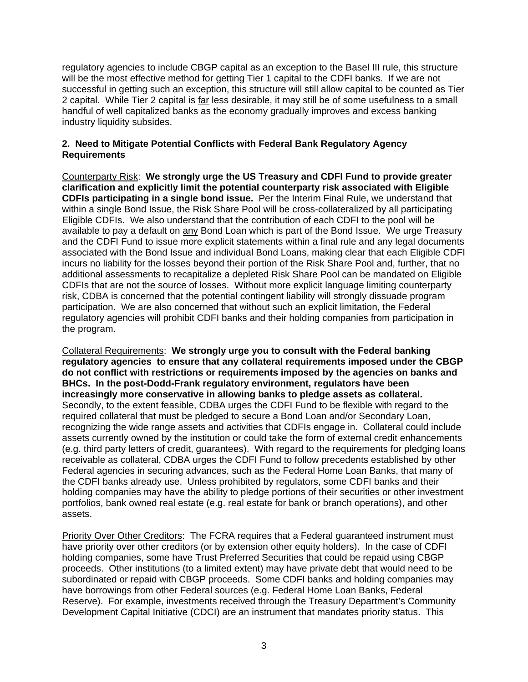regulatory agencies to include CBGP capital as an exception to the Basel III rule, this structure will be the most effective method for getting Tier 1 capital to the CDFI banks. If we are not successful in getting such an exception, this structure will still allow capital to be counted as Tier 2 capital. While Tier 2 capital is far less desirable, it may still be of some usefulness to a small handful of well capitalized banks as the economy gradually improves and excess banking industry liquidity subsides.

### **2. Need to Mitigate Potential Conflicts with Federal Bank Regulatory Agency Requirements**

Counterparty Risk: **We strongly urge the US Treasury and CDFI Fund to provide greater clarification and explicitly limit the potential counterparty risk associated with Eligible CDFIs participating in a single bond issue.** Per the Interim Final Rule, we understand that within a single Bond Issue, the Risk Share Pool will be cross-collateralized by all participating Eligible CDFIs. We also understand that the contribution of each CDFI to the pool will be available to pay a default on any Bond Loan which is part of the Bond Issue. We urge Treasury and the CDFI Fund to issue more explicit statements within a final rule and any legal documents associated with the Bond Issue and individual Bond Loans, making clear that each Eligible CDFI incurs no liability for the losses beyond their portion of the Risk Share Pool and, further, that no additional assessments to recapitalize a depleted Risk Share Pool can be mandated on Eligible CDFIs that are not the source of losses. Without more explicit language limiting counterparty risk, CDBA is concerned that the potential contingent liability will strongly dissuade program participation. We are also concerned that without such an explicit limitation, the Federal regulatory agencies will prohibit CDFI banks and their holding companies from participation in the program.

Collateral Requirements: **We strongly urge you to consult with the Federal banking regulatory agencies to ensure that any collateral requirements imposed under the CBGP do not conflict with restrictions or requirements imposed by the agencies on banks and BHCs. In the post-Dodd-Frank regulatory environment, regulators have been increasingly more conservative in allowing banks to pledge assets as collateral.**  Secondly, to the extent feasible, CDBA urges the CDFI Fund to be flexible with regard to the required collateral that must be pledged to secure a Bond Loan and/or Secondary Loan, recognizing the wide range assets and activities that CDFIs engage in. Collateral could include assets currently owned by the institution or could take the form of external credit enhancements (e.g. third party letters of credit, guarantees). With regard to the requirements for pledging loans receivable as collateral, CDBA urges the CDFI Fund to follow precedents established by other Federal agencies in securing advances, such as the Federal Home Loan Banks, that many of the CDFI banks already use. Unless prohibited by regulators, some CDFI banks and their holding companies may have the ability to pledge portions of their securities or other investment portfolios, bank owned real estate (e.g. real estate for bank or branch operations), and other assets.

Priority Over Other Creditors: The FCRA requires that a Federal guaranteed instrument must have priority over other creditors (or by extension other equity holders). In the case of CDFI holding companies, some have Trust Preferred Securities that could be repaid using CBGP proceeds. Other institutions (to a limited extent) may have private debt that would need to be subordinated or repaid with CBGP proceeds. Some CDFI banks and holding companies may have borrowings from other Federal sources (e.g. Federal Home Loan Banks, Federal Reserve). For example, investments received through the Treasury Department's Community Development Capital Initiative (CDCI) are an instrument that mandates priority status. This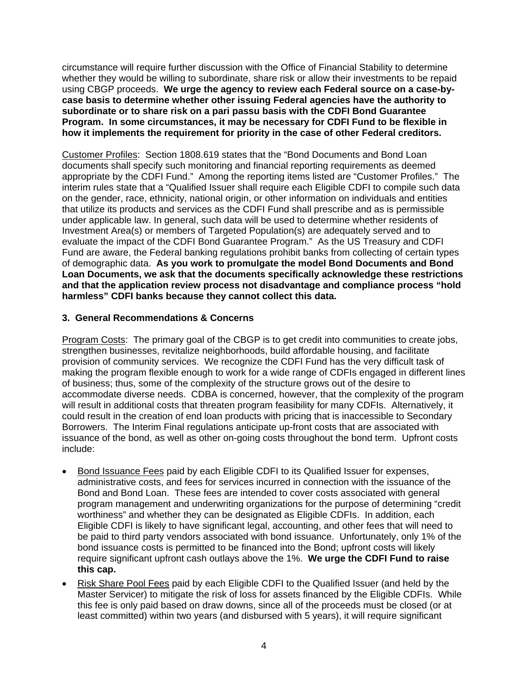circumstance will require further discussion with the Office of Financial Stability to determine whether they would be willing to subordinate, share risk or allow their investments to be repaid using CBGP proceeds. **We urge the agency to review each Federal source on a case-bycase basis to determine whether other issuing Federal agencies have the authority to subordinate or to share risk on a pari passu basis with the CDFI Bond Guarantee Program. In some circumstances, it may be necessary for CDFI Fund to be flexible in how it implements the requirement for priority in the case of other Federal creditors.** 

Customer Profiles: Section 1808.619 states that the "Bond Documents and Bond Loan documents shall specify such monitoring and financial reporting requirements as deemed appropriate by the CDFI Fund." Among the reporting items listed are "Customer Profiles." The interim rules state that a "Qualified Issuer shall require each Eligible CDFI to compile such data on the gender, race, ethnicity, national origin, or other information on individuals and entities that utilize its products and services as the CDFI Fund shall prescribe and as is permissible under applicable law. In general, such data will be used to determine whether residents of Investment Area(s) or members of Targeted Population(s) are adequately served and to evaluate the impact of the CDFI Bond Guarantee Program." As the US Treasury and CDFI Fund are aware, the Federal banking regulations prohibit banks from collecting of certain types of demographic data. **As you work to promulgate the model Bond Documents and Bond Loan Documents, we ask that the documents specifically acknowledge these restrictions and that the application review process not disadvantage and compliance process "hold harmless" CDFI banks because they cannot collect this data.** 

### **3. General Recommendations & Concerns**

Program Costs: The primary goal of the CBGP is to get credit into communities to create jobs, strengthen businesses, revitalize neighborhoods, build affordable housing, and facilitate provision of community services. We recognize the CDFI Fund has the very difficult task of making the program flexible enough to work for a wide range of CDFIs engaged in different lines of business; thus, some of the complexity of the structure grows out of the desire to accommodate diverse needs. CDBA is concerned, however, that the complexity of the program will result in additional costs that threaten program feasibility for many CDFIs. Alternatively, it could result in the creation of end loan products with pricing that is inaccessible to Secondary Borrowers. The Interim Final regulations anticipate up-front costs that are associated with issuance of the bond, as well as other on-going costs throughout the bond term. Upfront costs include:

- Bond Issuance Fees paid by each Eligible CDFI to its Qualified Issuer for expenses, administrative costs, and fees for services incurred in connection with the issuance of the Bond and Bond Loan. These fees are intended to cover costs associated with general program management and underwriting organizations for the purpose of determining "credit worthiness" and whether they can be designated as Eligible CDFIs. In addition, each Eligible CDFI is likely to have significant legal, accounting, and other fees that will need to be paid to third party vendors associated with bond issuance. Unfortunately, only 1% of the bond issuance costs is permitted to be financed into the Bond; upfront costs will likely require significant upfront cash outlays above the 1%. **We urge the CDFI Fund to raise this cap.**
- Risk Share Pool Fees paid by each Eligible CDFI to the Qualified Issuer (and held by the Master Servicer) to mitigate the risk of loss for assets financed by the Eligible CDFIs. While this fee is only paid based on draw downs, since all of the proceeds must be closed (or at least committed) within two years (and disbursed with 5 years), it will require significant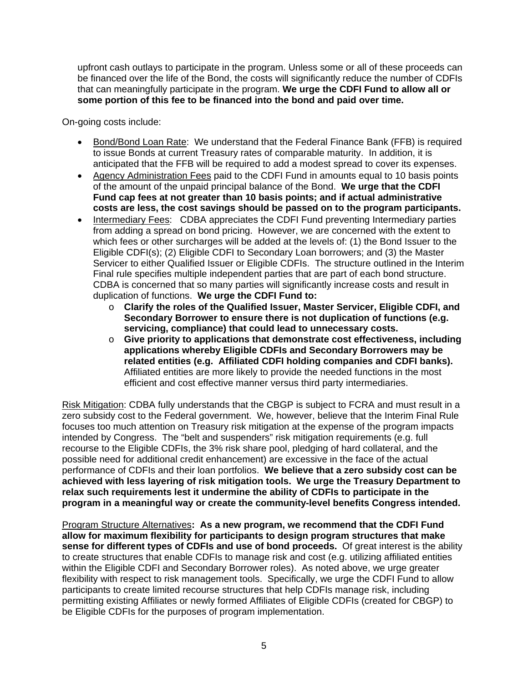upfront cash outlays to participate in the program. Unless some or all of these proceeds can be financed over the life of the Bond, the costs will significantly reduce the number of CDFIs that can meaningfully participate in the program. **We urge the CDFI Fund to allow all or some portion of this fee to be financed into the bond and paid over time.**

On-going costs include:

- Bond/Bond Loan Rate: We understand that the Federal Finance Bank (FFB) is required to issue Bonds at current Treasury rates of comparable maturity. In addition, it is anticipated that the FFB will be required to add a modest spread to cover its expenses.
- Agency Administration Fees paid to the CDFI Fund in amounts equal to 10 basis points of the amount of the unpaid principal balance of the Bond. **We urge that the CDFI Fund cap fees at not greater than 10 basis points; and if actual administrative costs are less, the cost savings should be passed on to the program participants.**
- Intermediary Fees: CDBA appreciates the CDFI Fund preventing Intermediary parties from adding a spread on bond pricing. However, we are concerned with the extent to which fees or other surcharges will be added at the levels of: (1) the Bond Issuer to the Eligible CDFI(s); (2) Eligible CDFI to Secondary Loan borrowers; and (3) the Master Servicer to either Qualified Issuer or Eligible CDFIs. The structure outlined in the Interim Final rule specifies multiple independent parties that are part of each bond structure. CDBA is concerned that so many parties will significantly increase costs and result in duplication of functions. **We urge the CDFI Fund to:**
	- o **Clarify the roles of the Qualified Issuer, Master Servicer, Eligible CDFI, and Secondary Borrower to ensure there is not duplication of functions (e.g. servicing, compliance) that could lead to unnecessary costs.**
	- o **Give priority to applications that demonstrate cost effectiveness, including applications whereby Eligible CDFIs and Secondary Borrowers may be related entities (e.g. Affiliated CDFI holding companies and CDFI banks).**  Affiliated entities are more likely to provide the needed functions in the most efficient and cost effective manner versus third party intermediaries.

Risk Mitigation: CDBA fully understands that the CBGP is subject to FCRA and must result in a zero subsidy cost to the Federal government. We, however, believe that the Interim Final Rule focuses too much attention on Treasury risk mitigation at the expense of the program impacts intended by Congress. The "belt and suspenders" risk mitigation requirements (e.g. full recourse to the Eligible CDFIs, the 3% risk share pool, pledging of hard collateral, and the possible need for additional credit enhancement) are excessive in the face of the actual performance of CDFIs and their loan portfolios. **We believe that a zero subsidy cost can be achieved with less layering of risk mitigation tools. We urge the Treasury Department to relax such requirements lest it undermine the ability of CDFIs to participate in the program in a meaningful way or create the community-level benefits Congress intended.** 

Program Structure Alternatives**: As a new program, we recommend that the CDFI Fund allow for maximum flexibility for participants to design program structures that make sense for different types of CDFIs and use of bond proceeds.** Of great interest is the ability to create structures that enable CDFIs to manage risk and cost (e.g. utilizing affiliated entities within the Eligible CDFI and Secondary Borrower roles). As noted above, we urge greater flexibility with respect to risk management tools. Specifically, we urge the CDFI Fund to allow participants to create limited recourse structures that help CDFIs manage risk, including permitting existing Affiliates or newly formed Affiliates of Eligible CDFIs (created for CBGP) to be Eligible CDFIs for the purposes of program implementation.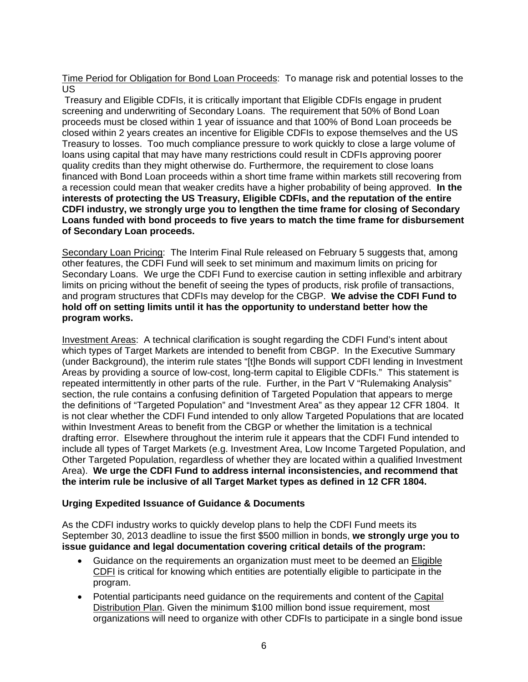Time Period for Obligation for Bond Loan Proceeds: To manage risk and potential losses to the US

 Treasury and Eligible CDFIs, it is critically important that Eligible CDFIs engage in prudent screening and underwriting of Secondary Loans. The requirement that 50% of Bond Loan proceeds must be closed within 1 year of issuance and that 100% of Bond Loan proceeds be closed within 2 years creates an incentive for Eligible CDFIs to expose themselves and the US Treasury to losses. Too much compliance pressure to work quickly to close a large volume of loans using capital that may have many restrictions could result in CDFIs approving poorer quality credits than they might otherwise do. Furthermore, the requirement to close loans financed with Bond Loan proceeds within a short time frame within markets still recovering from a recession could mean that weaker credits have a higher probability of being approved. **In the interests of protecting the US Treasury, Eligible CDFIs, and the reputation of the entire CDFI industry, we strongly urge you to lengthen the time frame for closing of Secondary Loans funded with bond proceeds to five years to match the time frame for disbursement of Secondary Loan proceeds.** 

Secondary Loan Pricing: The Interim Final Rule released on February 5 suggests that, among other features, the CDFI Fund will seek to set minimum and maximum limits on pricing for Secondary Loans. We urge the CDFI Fund to exercise caution in setting inflexible and arbitrary limits on pricing without the benefit of seeing the types of products, risk profile of transactions, and program structures that CDFIs may develop for the CBGP. **We advise the CDFI Fund to hold off on setting limits until it has the opportunity to understand better how the program works.** 

Investment Areas: A technical clarification is sought regarding the CDFI Fund's intent about which types of Target Markets are intended to benefit from CBGP. In the Executive Summary (under Background), the interim rule states "[t]he Bonds will support CDFI lending in Investment Areas by providing a source of low-cost, long-term capital to Eligible CDFIs." This statement is repeated intermittently in other parts of the rule. Further, in the Part V "Rulemaking Analysis" section, the rule contains a confusing definition of Targeted Population that appears to merge the definitions of "Targeted Population" and "Investment Area" as they appear 12 CFR 1804. It is not clear whether the CDFI Fund intended to only allow Targeted Populations that are located within Investment Areas to benefit from the CBGP or whether the limitation is a technical drafting error. Elsewhere throughout the interim rule it appears that the CDFI Fund intended to include all types of Target Markets (e.g. Investment Area, Low Income Targeted Population, and Other Targeted Population, regardless of whether they are located within a qualified Investment Area). **We urge the CDFI Fund to address internal inconsistencies, and recommend that the interim rule be inclusive of all Target Market types as defined in 12 CFR 1804.** 

### **Urging Expedited Issuance of Guidance & Documents**

As the CDFI industry works to quickly develop plans to help the CDFI Fund meets its September 30, 2013 deadline to issue the first \$500 million in bonds, **we strongly urge you to issue guidance and legal documentation covering critical details of the program:** 

- Guidance on the requirements an organization must meet to be deemed an Eligible CDFI is critical for knowing which entities are potentially eligible to participate in the program.
- Potential participants need guidance on the requirements and content of the Capital Distribution Plan. Given the minimum \$100 million bond issue requirement, most organizations will need to organize with other CDFIs to participate in a single bond issue